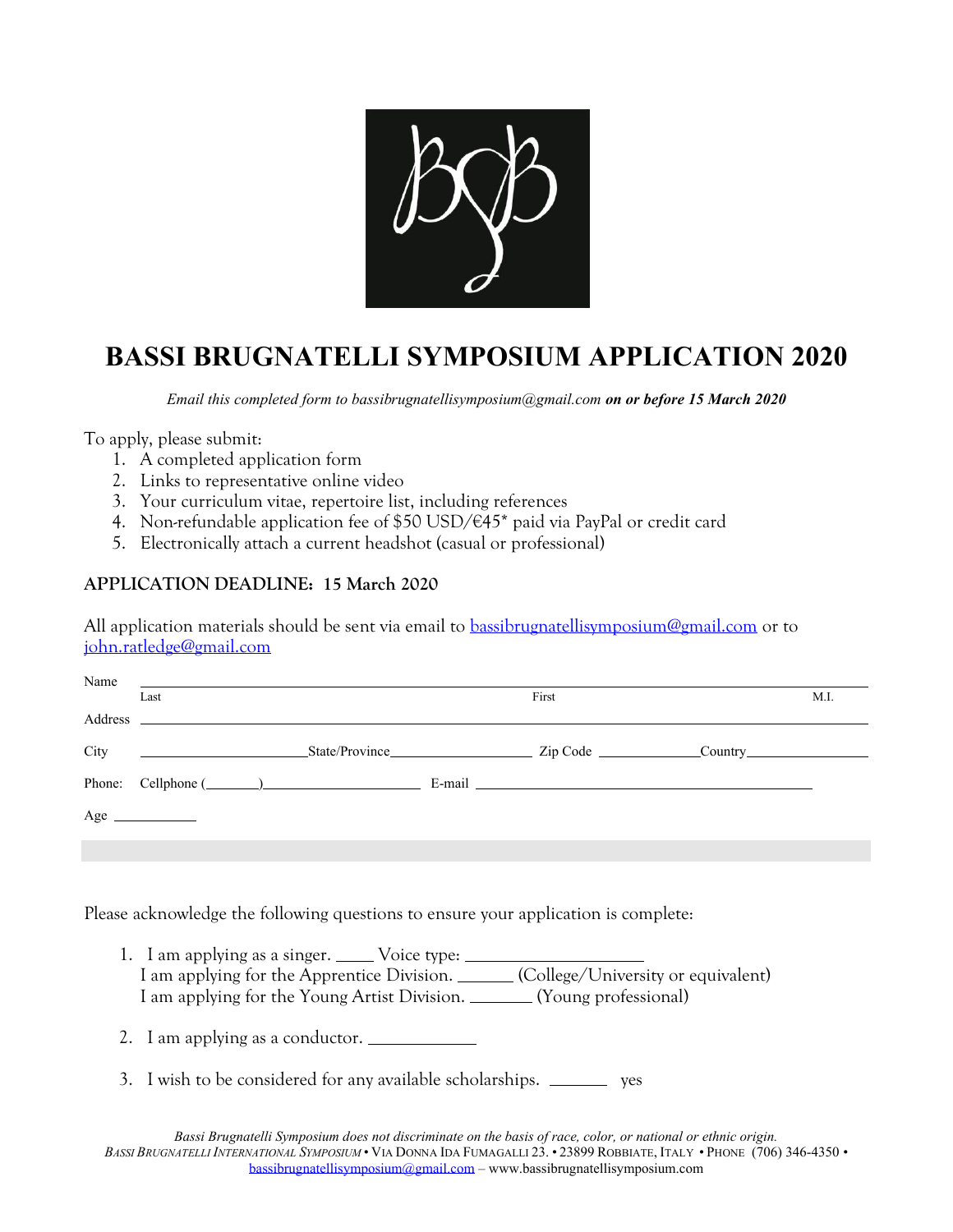

## **BASSI BRUGNATELLI SYMPOSIUM APPLICATION 2020**

*Email this completed form to bassibrugnatellisymposium@gmail.com on or before 15 March 2020*

To apply, please submit:

- 1. A completed application form
- 2. Links to representative online video
- 3. Your curriculum vitae, repertoire list, including references
- 4. Non-refundable application fee of \$50 USD/€45\* paid via PayPal or credit card
- 5. Electronically attach a current headshot (casual or professional)

## **APPLICATION DEADLINE: 15 March 2020**

All application materials should be sent via email to [bassibrugnatellisymposium@gmail.com](mailto:bassibrugnatellisymposium@gmail.com) or to [john.ratledge@gmail.com](mailto:john.ratledge@gmail.com)

|      | Name                                                                                                                                                                                                                           |       |                                         |  |      |
|------|--------------------------------------------------------------------------------------------------------------------------------------------------------------------------------------------------------------------------------|-------|-----------------------------------------|--|------|
|      | Last                                                                                                                                                                                                                           | First |                                         |  | M.I. |
|      | Address and the contract of the contract of the contract of the contract of the contract of the contract of the contract of the contract of the contract of the contract of the contract of the contract of the contract of th |       |                                         |  |      |
| City |                                                                                                                                                                                                                                |       | State/Province Zip Code Country Country |  |      |
|      |                                                                                                                                                                                                                                |       |                                         |  |      |
|      | $Age \_$                                                                                                                                                                                                                       |       |                                         |  |      |
|      |                                                                                                                                                                                                                                |       |                                         |  |      |

Please acknowledge the following questions to ensure your application is complete:

- 1. I am applying as a singer. \_\_\_\_\_ Voice type: \_\_\_\_\_\_ I am applying for the Apprentice Division. (College/University or equivalent) I am applying for the Young Artist Division. (Young professional)
- 2. I am applying as a conductor.
- 3. I wish to be considered for any available scholarships. \_\_\_\_\_\_\_\_ ves